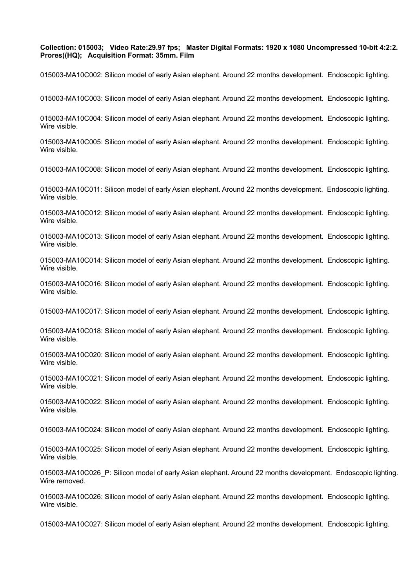## **Collection: 015003; Video Rate:29.97 fps; Master Digital Formats: 1920 x 1080 Uncompressed 10-bit 4:2:2. Prores((HQ); Acquisition Format: 35mm. Film**

015003-MA10C002: Silicon model of early Asian elephant. Around 22 months development. Endoscopic lighting.

015003-MA10C003: Silicon model of early Asian elephant. Around 22 months development. Endoscopic lighting.

015003-MA10C004: Silicon model of early Asian elephant. Around 22 months development. Endoscopic lighting. Wire visible.

015003-MA10C005: Silicon model of early Asian elephant. Around 22 months development. Endoscopic lighting. Wire visible.

015003-MA10C008: Silicon model of early Asian elephant. Around 22 months development. Endoscopic lighting.

015003-MA10C011: Silicon model of early Asian elephant. Around 22 months development. Endoscopic lighting. Wire visible.

015003-MA10C012: Silicon model of early Asian elephant. Around 22 months development. Endoscopic lighting. Wire visible.

015003-MA10C013: Silicon model of early Asian elephant. Around 22 months development. Endoscopic lighting. Wire visible.

015003-MA10C014: Silicon model of early Asian elephant. Around 22 months development. Endoscopic lighting. Wire visible.

015003-MA10C016: Silicon model of early Asian elephant. Around 22 months development. Endoscopic lighting. Wire visible.

015003-MA10C017: Silicon model of early Asian elephant. Around 22 months development. Endoscopic lighting.

015003-MA10C018: Silicon model of early Asian elephant. Around 22 months development. Endoscopic lighting. Wire visible.

015003-MA10C020: Silicon model of early Asian elephant. Around 22 months development. Endoscopic lighting. Wire visible.

015003-MA10C021: Silicon model of early Asian elephant. Around 22 months development. Endoscopic lighting. Wire visible.

015003-MA10C022: Silicon model of early Asian elephant. Around 22 months development. Endoscopic lighting. Wire visible.

015003-MA10C024: Silicon model of early Asian elephant. Around 22 months development. Endoscopic lighting.

015003-MA10C025: Silicon model of early Asian elephant. Around 22 months development. Endoscopic lighting. Wire visible.

015003-MA10C026 P: Silicon model of early Asian elephant. Around 22 months development. Endoscopic lighting. Wire removed.

015003-MA10C026: Silicon model of early Asian elephant. Around 22 months development. Endoscopic lighting. Wire visible.

015003-MA10C027: Silicon model of early Asian elephant. Around 22 months development. Endoscopic lighting.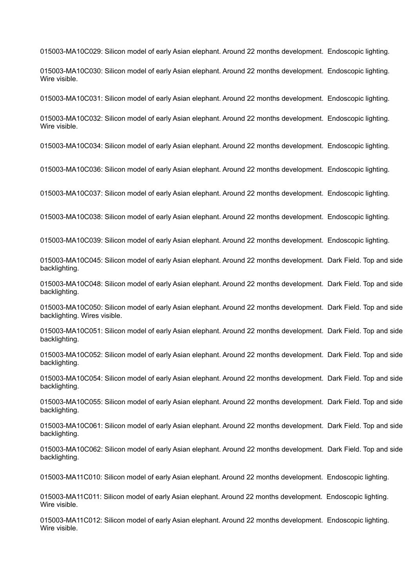015003-MA10C029: Silicon model of early Asian elephant. Around 22 months development. Endoscopic lighting.

015003-MA10C030: Silicon model of early Asian elephant. Around 22 months development. Endoscopic lighting. Wire visible.

015003-MA10C031: Silicon model of early Asian elephant. Around 22 months development. Endoscopic lighting.

015003-MA10C032: Silicon model of early Asian elephant. Around 22 months development. Endoscopic lighting. Wire visible.

015003-MA10C034: Silicon model of early Asian elephant. Around 22 months development. Endoscopic lighting.

015003-MA10C036: Silicon model of early Asian elephant. Around 22 months development. Endoscopic lighting.

015003-MA10C037: Silicon model of early Asian elephant. Around 22 months development. Endoscopic lighting.

015003-MA10C038: Silicon model of early Asian elephant. Around 22 months development. Endoscopic lighting.

015003-MA10C039: Silicon model of early Asian elephant. Around 22 months development. Endoscopic lighting.

015003-MA10C045: Silicon model of early Asian elephant. Around 22 months development. Dark Field. Top and side backlighting.

015003-MA10C048: Silicon model of early Asian elephant. Around 22 months development. Dark Field. Top and side backlighting.

015003-MA10C050: Silicon model of early Asian elephant. Around 22 months development. Dark Field. Top and side backlighting. Wires visible.

015003-MA10C051: Silicon model of early Asian elephant. Around 22 months development. Dark Field. Top and side backlighting.

015003-MA10C052: Silicon model of early Asian elephant. Around 22 months development. Dark Field. Top and side backlighting.

015003-MA10C054: Silicon model of early Asian elephant. Around 22 months development. Dark Field. Top and side backlighting.

015003-MA10C055: Silicon model of early Asian elephant. Around 22 months development. Dark Field. Top and side backlighting.

015003-MA10C061: Silicon model of early Asian elephant. Around 22 months development. Dark Field. Top and side backlighting.

015003-MA10C062: Silicon model of early Asian elephant. Around 22 months development. Dark Field. Top and side backlighting.

015003-MA11C010: Silicon model of early Asian elephant. Around 22 months development. Endoscopic lighting.

015003-MA11C011: Silicon model of early Asian elephant. Around 22 months development. Endoscopic lighting. Wire visible.

015003-MA11C012: Silicon model of early Asian elephant. Around 22 months development. Endoscopic lighting. Wire visible.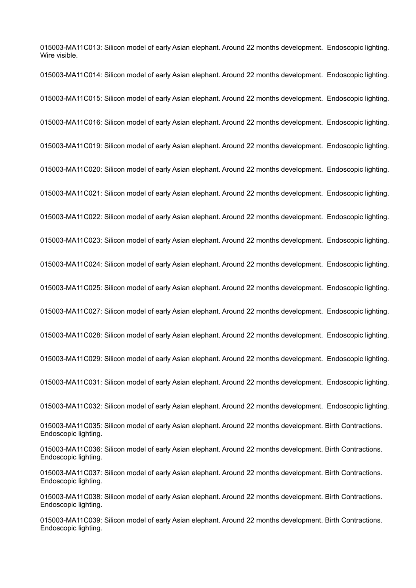015003-MA11C013: Silicon model of early Asian elephant. Around 22 months development. Endoscopic lighting. Wire visible.

015003-MA11C014: Silicon model of early Asian elephant. Around 22 months development. Endoscopic lighting. 015003-MA11C015: Silicon model of early Asian elephant. Around 22 months development. Endoscopic lighting. 015003-MA11C016: Silicon model of early Asian elephant. Around 22 months development. Endoscopic lighting. 015003-MA11C019: Silicon model of early Asian elephant. Around 22 months development. Endoscopic lighting. 015003-MA11C020: Silicon model of early Asian elephant. Around 22 months development. Endoscopic lighting. 015003-MA11C021: Silicon model of early Asian elephant. Around 22 months development. Endoscopic lighting. 015003-MA11C022: Silicon model of early Asian elephant. Around 22 months development. Endoscopic lighting. 015003-MA11C023: Silicon model of early Asian elephant. Around 22 months development. Endoscopic lighting. 015003-MA11C024: Silicon model of early Asian elephant. Around 22 months development. Endoscopic lighting. 015003-MA11C025: Silicon model of early Asian elephant. Around 22 months development. Endoscopic lighting. 015003-MA11C027: Silicon model of early Asian elephant. Around 22 months development. Endoscopic lighting. 015003-MA11C028: Silicon model of early Asian elephant. Around 22 months development. Endoscopic lighting. 015003-MA11C029: Silicon model of early Asian elephant. Around 22 months development. Endoscopic lighting. 015003-MA11C031: Silicon model of early Asian elephant. Around 22 months development. Endoscopic lighting. 015003-MA11C032: Silicon model of early Asian elephant. Around 22 months development. Endoscopic lighting. 015003-MA11C035: Silicon model of early Asian elephant. Around 22 months development. Birth Contractions. Endoscopic lighting. 015003-MA11C036: Silicon model of early Asian elephant. Around 22 months development. Birth Contractions. Endoscopic lighting. 015003-MA11C037: Silicon model of early Asian elephant. Around 22 months development. Birth Contractions. Endoscopic lighting. 015003-MA11C038: Silicon model of early Asian elephant. Around 22 months development. Birth Contractions. Endoscopic lighting. 015003-MA11C039: Silicon model of early Asian elephant. Around 22 months development. Birth Contractions. Endoscopic lighting.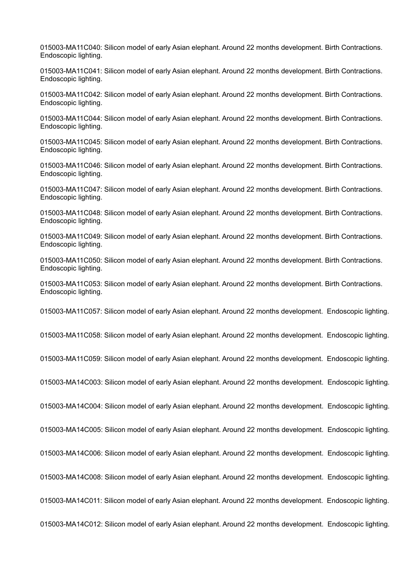015003-MA11C040: Silicon model of early Asian elephant. Around 22 months development. Birth Contractions. Endoscopic lighting.

015003-MA11C041: Silicon model of early Asian elephant. Around 22 months development. Birth Contractions. Endoscopic lighting.

015003-MA11C042: Silicon model of early Asian elephant. Around 22 months development. Birth Contractions. Endoscopic lighting.

015003-MA11C044: Silicon model of early Asian elephant. Around 22 months development. Birth Contractions. Endoscopic lighting.

015003-MA11C045: Silicon model of early Asian elephant. Around 22 months development. Birth Contractions. Endoscopic lighting.

015003-MA11C046: Silicon model of early Asian elephant. Around 22 months development. Birth Contractions. Endoscopic lighting.

015003-MA11C047: Silicon model of early Asian elephant. Around 22 months development. Birth Contractions. Endoscopic lighting.

015003-MA11C048: Silicon model of early Asian elephant. Around 22 months development. Birth Contractions. Endoscopic lighting.

015003-MA11C049: Silicon model of early Asian elephant. Around 22 months development. Birth Contractions. Endoscopic lighting.

015003-MA11C050: Silicon model of early Asian elephant. Around 22 months development. Birth Contractions. Endoscopic lighting.

015003-MA11C053: Silicon model of early Asian elephant. Around 22 months development. Birth Contractions. Endoscopic lighting.

015003-MA11C057: Silicon model of early Asian elephant. Around 22 months development. Endoscopic lighting.

015003-MA11C058: Silicon model of early Asian elephant. Around 22 months development. Endoscopic lighting.

015003-MA11C059: Silicon model of early Asian elephant. Around 22 months development. Endoscopic lighting.

015003-MA14C003: Silicon model of early Asian elephant. Around 22 months development. Endoscopic lighting.

015003-MA14C004: Silicon model of early Asian elephant. Around 22 months development. Endoscopic lighting.

015003-MA14C005: Silicon model of early Asian elephant. Around 22 months development. Endoscopic lighting.

015003-MA14C006: Silicon model of early Asian elephant. Around 22 months development. Endoscopic lighting.

015003-MA14C008: Silicon model of early Asian elephant. Around 22 months development. Endoscopic lighting.

015003-MA14C011: Silicon model of early Asian elephant. Around 22 months development. Endoscopic lighting.

015003-MA14C012: Silicon model of early Asian elephant. Around 22 months development. Endoscopic lighting.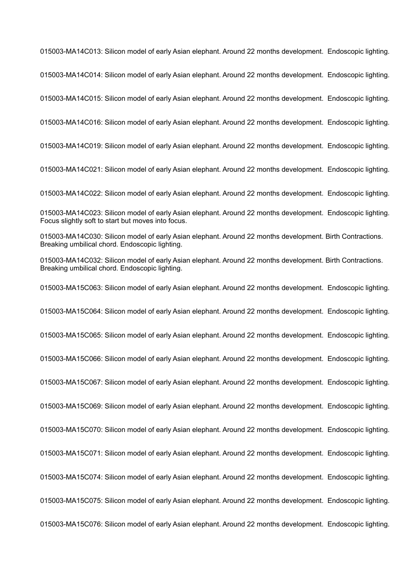015003-MA14C013: Silicon model of early Asian elephant. Around 22 months development. Endoscopic lighting.

015003-MA14C014: Silicon model of early Asian elephant. Around 22 months development. Endoscopic lighting.

015003-MA14C015: Silicon model of early Asian elephant. Around 22 months development. Endoscopic lighting.

015003-MA14C016: Silicon model of early Asian elephant. Around 22 months development. Endoscopic lighting.

015003-MA14C019: Silicon model of early Asian elephant. Around 22 months development. Endoscopic lighting.

015003-MA14C021: Silicon model of early Asian elephant. Around 22 months development. Endoscopic lighting.

015003-MA14C022: Silicon model of early Asian elephant. Around 22 months development. Endoscopic lighting.

015003-MA14C023: Silicon model of early Asian elephant. Around 22 months development. Endoscopic lighting. Focus slightly soft to start but moves into focus.

015003-MA14C030: Silicon model of early Asian elephant. Around 22 months development. Birth Contractions. Breaking umbilical chord. Endoscopic lighting.

015003-MA14C032: Silicon model of early Asian elephant. Around 22 months development. Birth Contractions. Breaking umbilical chord. Endoscopic lighting.

015003-MA15C063: Silicon model of early Asian elephant. Around 22 months development. Endoscopic lighting.

015003-MA15C064: Silicon model of early Asian elephant. Around 22 months development. Endoscopic lighting.

015003-MA15C065: Silicon model of early Asian elephant. Around 22 months development. Endoscopic lighting.

015003-MA15C066: Silicon model of early Asian elephant. Around 22 months development. Endoscopic lighting.

015003-MA15C067: Silicon model of early Asian elephant. Around 22 months development. Endoscopic lighting.

015003-MA15C069: Silicon model of early Asian elephant. Around 22 months development. Endoscopic lighting.

015003-MA15C070: Silicon model of early Asian elephant. Around 22 months development. Endoscopic lighting.

015003-MA15C071: Silicon model of early Asian elephant. Around 22 months development. Endoscopic lighting.

015003-MA15C074: Silicon model of early Asian elephant. Around 22 months development. Endoscopic lighting.

015003-MA15C075: Silicon model of early Asian elephant. Around 22 months development. Endoscopic lighting.

015003-MA15C076: Silicon model of early Asian elephant. Around 22 months development. Endoscopic lighting.